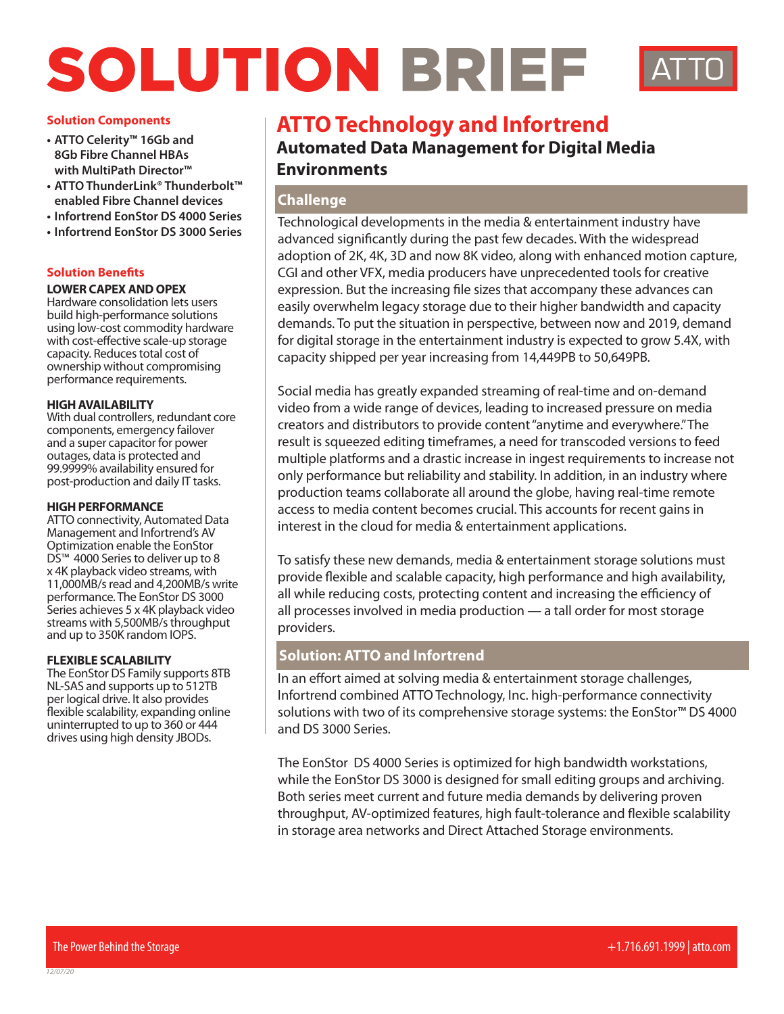# SOLUTION BRIEF



## **Solution Components**

- **• ATTO Celerity™ 16Gb and 8Gb Fibre Channel HBAs with MultiPath Director™**
- **• ATTO ThunderLink® Thunderbolt™ enabled Fibre Channel devices**
- **• Infortrend EonStor DS 4000 Series**
- **• Infortrend EonStor DS 3000 Series**

# **Solution Benefits**

## **LOWER CAPEX AND OPEX**

Hardware consolidation lets users build high-performance solutions using low-cost commodity hardware with cost-effective scale-up storage capacity. Reduces total cost of ownership without compromising performance requirements.

## **HIGH AVAILABILITY**

With dual controllers, redundant core components, emergency failover and a super capacitor for power outages, data is protected and 99.9999% availability ensured for post-production and daily IT tasks.

#### **HIGH PERFORMANCE**

ATTO connectivity, Automated Data Management and Infortrend's AV Optimization enable the EonStor DS<sup>™</sup> 4000 Series to deliver up to 8 x 4K playback video streams, with 11,000MB/s read and 4,200MB/s write performance. The EonStor DS 3000 Series achieves 5 x 4K playback video streams with 5,500MB/s throughput and up to 350K random IOPS.

## **FLEXIBLE SCALABILITY**

The EonStor DS Family supports 8TB NL-SAS and supports up to 512TB per logical drive. It also provides flexible scalability, expanding online uninterrupted to up to 360 or 444 drives using high density JBODs.

# **ATTO Technology and Infortrend**

**Automated Data Management for Digital Media Environments**

# **Challenge**

Technological developments in the media & entertainment industry have advanced significantly during the past few decades. With the widespread adoption of 2K, 4K, 3D and now 8K video, along with enhanced motion capture, CGI and other VFX, media producers have unprecedented tools for creative expression. But the increasing file sizes that accompany these advances can easily overwhelm legacy storage due to their higher bandwidth and capacity demands. To put the situation in perspective, between now and 2019, demand for digital storage in the entertainment industry is expected to grow 5.4X, with capacity shipped per year increasing from 14,449PB to 50,649PB.

Social media has greatly expanded streaming of real-time and on-demand video from a wide range of devices, leading to increased pressure on media creators and distributors to provide content "anytime and everywhere." The result is squeezed editing timeframes, a need for transcoded versions to feed multiple platforms and a drastic increase in ingest requirements to increase not only performance but reliability and stability. In addition, in an industry where production teams collaborate all around the globe, having real-time remote access to media content becomes crucial. This accounts for recent gains in interest in the cloud for media & entertainment applications.

To satisfy these new demands, media & entertainment storage solutions must provide flexible and scalable capacity, high performance and high availability, all while reducing costs, protecting content and increasing the efficiency of all processes involved in media production — a tall order for most storage providers.

# **Solution: ATTO and Infortrend**

In an effort aimed at solving media & entertainment storage challenges, Infortrend combined ATTO Technology, Inc. high-performance connectivity solutions with two of its comprehensive storage systems: the EonStor™ DS 4000 and DS 3000 Series.

The EonStor DS 4000 Series is optimized for high bandwidth workstations, while the EonStor DS 3000 is designed for small editing groups and archiving. Both series meet current and future media demands by delivering proven throughput, AV-optimized features, high fault-tolerance and flexible scalability in storage area networks and Direct Attached Storage environments.

*12/07/20*